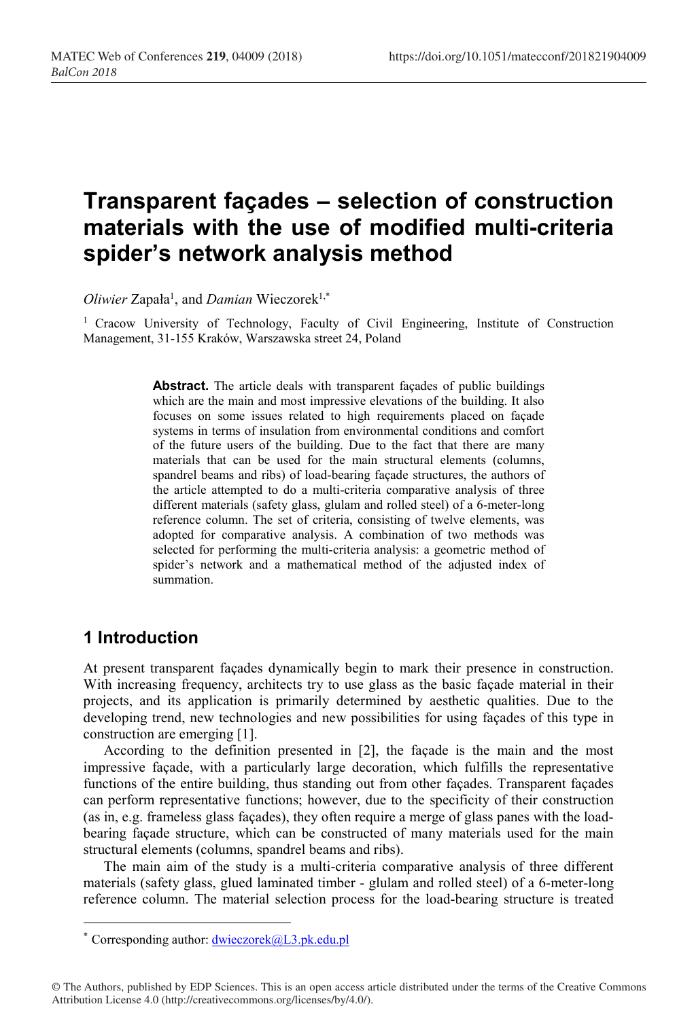# Transparent façades – selection of construction materials with the use of modified multi-criteria spider's network analysis method

Oliwier Zapała<sup>1</sup>, and Damian Wieczorek<sup>1,\*</sup>

1 Cracow University of Technology, Faculty of Civil Engineering, Institute of Construction Management, 31-155 Kraków, Warszawska street 24, Poland

> Abstract. The article deals with transparent façades of public buildings which are the main and most impressive elevations of the building. It also focuses on some issues related to high requirements placed on façade systems in terms of insulation from environmental conditions and comfort of the future users of the building. Due to the fact that there are many materials that can be used for the main structural elements (columns, spandrel beams and ribs) of load-bearing façade structures, the authors of the article attempted to do a multi-criteria comparative analysis of three different materials (safety glass, glulam and rolled steel) of a 6-meter-long reference column. The set of criteria, consisting of twelve elements, was adopted for comparative analysis. A combination of two methods was selected for performing the multi-criteria analysis: a geometric method of spider's network and a mathematical method of the adjusted index of summation.

### 1 Introduction

 $\overline{a}$ 

At present transparent façades dynamically begin to mark their presence in construction. With increasing frequency, architects try to use glass as the basic façade material in their projects, and its application is primarily determined by aesthetic qualities. Due to the developing trend, new technologies and new possibilities for using façades of this type in construction are emerging [1].

According to the definition presented in [2], the façade is the main and the most impressive façade, with a particularly large decoration, which fulfills the representative functions of the entire building, thus standing out from other façades. Transparent façades can perform representative functions; however, due to the specificity of their construction (as in, e.g. frameless glass façades), they often require a merge of glass panes with the loadbearing façade structure, which can be constructed of many materials used for the main structural elements (columns, spandrel beams and ribs).

The main aim of the study is a multi-criteria comparative analysis of three different materials (safety glass, glued laminated timber - glulam and rolled steel) of a 6-meter-long reference column. The material selection process for the load-bearing structure is treated

<sup>\*</sup> Corresponding author: dwieczorek@L3.pk.edu.pl

<sup>©</sup> The Authors, published by EDP Sciences. This is an open access article distributed under the terms of the Creative Commons Attribution License 4.0 (http://creativecommons.org/licenses/by/4.0/).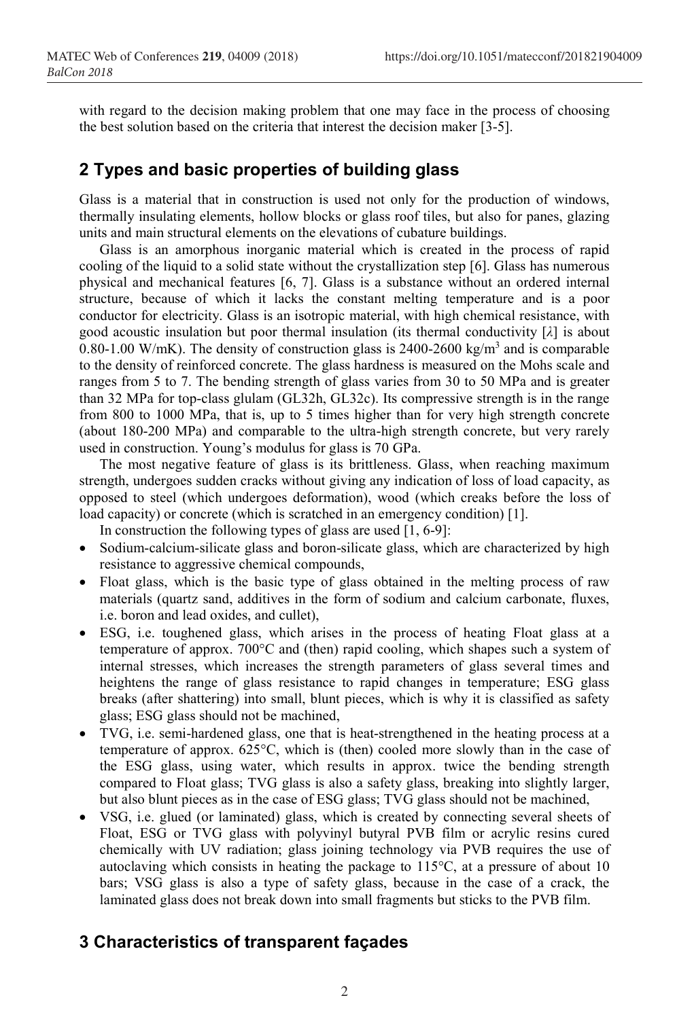with regard to the decision making problem that one may face in the process of choosing the best solution based on the criteria that interest the decision maker [3-5].

### 2 Types and basic properties of building glass

Glass is a material that in construction is used not only for the production of windows, thermally insulating elements, hollow blocks or glass roof tiles, but also for panes, glazing units and main structural elements on the elevations of cubature buildings.

Glass is an amorphous inorganic material which is created in the process of rapid cooling of the liquid to a solid state without the crystallization step [6]. Glass has numerous physical and mechanical features [6, 7]. Glass is a substance without an ordered internal structure, because of which it lacks the constant melting temperature and is a poor conductor for electricity. Glass is an isotropic material, with high chemical resistance, with good acoustic insulation but poor thermal insulation (its thermal conductivity  $[\lambda]$  is about 0.80-1.00 W/mK). The density of construction glass is  $2400-2600 \text{ kg/m}^3$  and is comparable to the density of reinforced concrete. The glass hardness is measured on the Mohs scale and ranges from 5 to 7. The bending strength of glass varies from 30 to 50 MPa and is greater than 32 MPa for top-class glulam (GL32h, GL32c). Its compressive strength is in the range from 800 to 1000 MPa, that is, up to 5 times higher than for very high strength concrete (about 180-200 MPa) and comparable to the ultra-high strength concrete, but very rarely used in construction. Young's modulus for glass is 70 GPa.

The most negative feature of glass is its brittleness. Glass, when reaching maximum strength, undergoes sudden cracks without giving any indication of loss of load capacity, as opposed to steel (which undergoes deformation), wood (which creaks before the loss of load capacity) or concrete (which is scratched in an emergency condition) [1].

In construction the following types of glass are used [1, 6-9]:

- Sodium-calcium-silicate glass and boron-silicate glass, which are characterized by high resistance to aggressive chemical compounds,
- Float glass, which is the basic type of glass obtained in the melting process of raw materials (quartz sand, additives in the form of sodium and calcium carbonate, fluxes, i.e. boron and lead oxides, and cullet),
- ESG, i.e. toughened glass, which arises in the process of heating Float glass at a temperature of approx. 700°C and (then) rapid cooling, which shapes such a system of internal stresses, which increases the strength parameters of glass several times and heightens the range of glass resistance to rapid changes in temperature; ESG glass breaks (after shattering) into small, blunt pieces, which is why it is classified as safety glass; ESG glass should not be machined,
- TVG, i.e. semi-hardened glass, one that is heat-strengthened in the heating process at a temperature of approx. 625°C, which is (then) cooled more slowly than in the case of the ESG glass, using water, which results in approx. twice the bending strength compared to Float glass; TVG glass is also a safety glass, breaking into slightly larger, but also blunt pieces as in the case of ESG glass; TVG glass should not be machined,
- VSG, i.e. glued (or laminated) glass, which is created by connecting several sheets of Float, ESG or TVG glass with polyvinyl butyral PVB film or acrylic resins cured chemically with UV radiation; glass joining technology via PVB requires the use of autoclaving which consists in heating the package to 115°C, at a pressure of about 10 bars; VSG glass is also a type of safety glass, because in the case of a crack, the laminated glass does not break down into small fragments but sticks to the PVB film.

### 3 Characteristics of transparent façades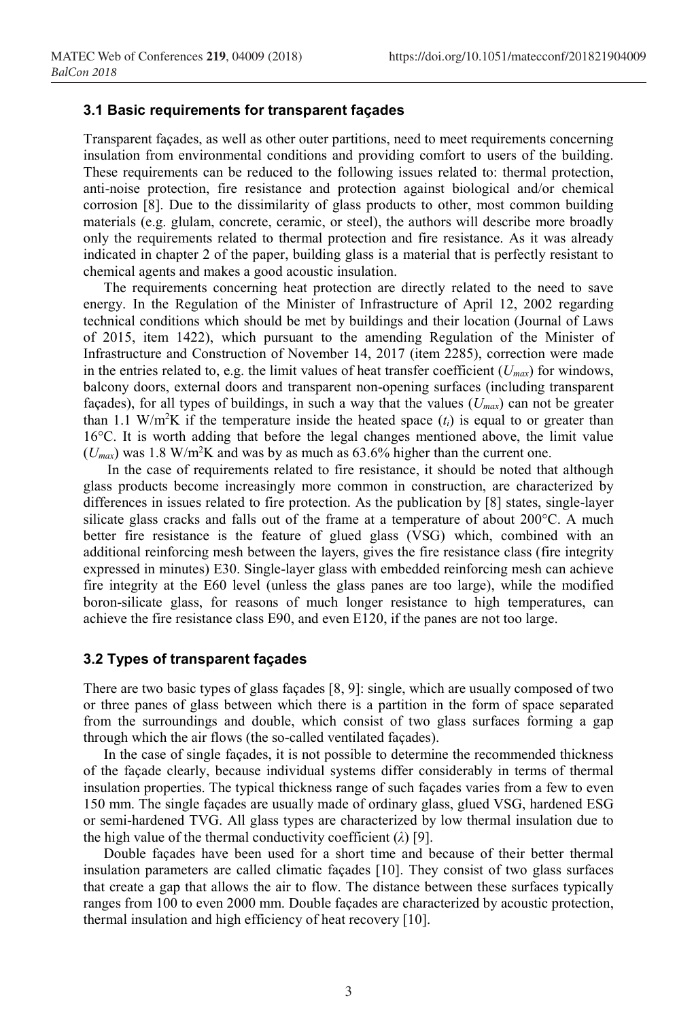#### 3.1 Basic requirements for transparent façades

Transparent façades, as well as other outer partitions, need to meet requirements concerning insulation from environmental conditions and providing comfort to users of the building. These requirements can be reduced to the following issues related to: thermal protection, anti-noise protection, fire resistance and protection against biological and/or chemical corrosion [8]. Due to the dissimilarity of glass products to other, most common building materials (e.g. glulam, concrete, ceramic, or steel), the authors will describe more broadly only the requirements related to thermal protection and fire resistance. As it was already indicated in chapter 2 of the paper, building glass is a material that is perfectly resistant to chemical agents and makes a good acoustic insulation.

The requirements concerning heat protection are directly related to the need to save energy. In the Regulation of the Minister of Infrastructure of April 12, 2002 regarding technical conditions which should be met by buildings and their location (Journal of Laws of 2015, item 1422), which pursuant to the amending Regulation of the Minister of Infrastructure and Construction of November 14, 2017 (item 2285), correction were made in the entries related to, e.g. the limit values of heat transfer coefficient  $(U_{max})$  for windows, balcony doors, external doors and transparent non-opening surfaces (including transparent façades), for all types of buildings, in such a way that the values  $(U_{max})$  can not be greater than 1.1 W/m<sup>2</sup>K if the temperature inside the heated space  $(t_i)$  is equal to or greater than 16°C. It is worth adding that before the legal changes mentioned above, the limit value  $(U_{max})$  was 1.8 W/m<sup>2</sup>K and was by as much as 63.6% higher than the current one.

 In the case of requirements related to fire resistance, it should be noted that although glass products become increasingly more common in construction, are characterized by differences in issues related to fire protection. As the publication by [8] states, single-layer silicate glass cracks and falls out of the frame at a temperature of about 200°C. A much better fire resistance is the feature of glued glass (VSG) which, combined with an additional reinforcing mesh between the layers, gives the fire resistance class (fire integrity expressed in minutes) E30. Single-layer glass with embedded reinforcing mesh can achieve fire integrity at the E60 level (unless the glass panes are too large), while the modified boron-silicate glass, for reasons of much longer resistance to high temperatures, can achieve the fire resistance class E90, and even E120, if the panes are not too large.

#### 3.2 Types of transparent façades

There are two basic types of glass façades [8, 9]: single, which are usually composed of two or three panes of glass between which there is a partition in the form of space separated from the surroundings and double, which consist of two glass surfaces forming a gap through which the air flows (the so-called ventilated façades).

In the case of single façades, it is not possible to determine the recommended thickness of the façade clearly, because individual systems differ considerably in terms of thermal insulation properties. The typical thickness range of such façades varies from a few to even 150 mm. The single façades are usually made of ordinary glass, glued VSG, hardened ESG or semi-hardened TVG. All glass types are characterized by low thermal insulation due to the high value of the thermal conductivity coefficient  $(\lambda)$  [9].

Double façades have been used for a short time and because of their better thermal insulation parameters are called climatic façades [10]. They consist of two glass surfaces that create a gap that allows the air to flow. The distance between these surfaces typically ranges from 100 to even 2000 mm. Double façades are characterized by acoustic protection, thermal insulation and high efficiency of heat recovery [10].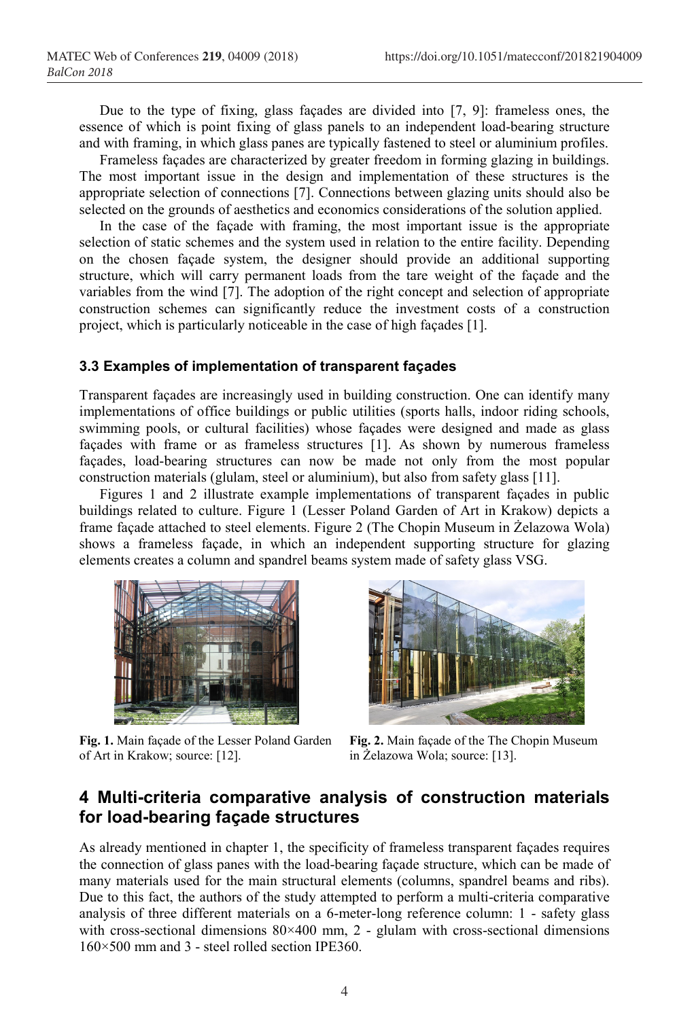Due to the type of fixing, glass façades are divided into [7, 9]: frameless ones, the essence of which is point fixing of glass panels to an independent load-bearing structure and with framing, in which glass panes are typically fastened to steel or aluminium profiles.

Frameless façades are characterized by greater freedom in forming glazing in buildings. The most important issue in the design and implementation of these structures is the appropriate selection of connections [7]. Connections between glazing units should also be selected on the grounds of aesthetics and economics considerations of the solution applied.

In the case of the façade with framing, the most important issue is the appropriate selection of static schemes and the system used in relation to the entire facility. Depending on the chosen façade system, the designer should provide an additional supporting structure, which will carry permanent loads from the tare weight of the façade and the variables from the wind [7]. The adoption of the right concept and selection of appropriate construction schemes can significantly reduce the investment costs of a construction project, which is particularly noticeable in the case of high façades [1].

#### 3.3 Examples of implementation of transparent façades

Transparent façades are increasingly used in building construction. One can identify many implementations of office buildings or public utilities (sports halls, indoor riding schools, swimming pools, or cultural facilities) whose façades were designed and made as glass façades with frame or as frameless structures [1]. As shown by numerous frameless façades, load-bearing structures can now be made not only from the most popular construction materials (glulam, steel or aluminium), but also from safety glass [11].

Figures 1 and 2 illustrate example implementations of transparent façades in public buildings related to culture. Figure 1 (Lesser Poland Garden of Art in Krakow) depicts a frame façade attached to steel elements. Figure 2 (The Chopin Museum in Żelazowa Wola) shows a frameless façade, in which an independent supporting structure for glazing elements creates a column and spandrel beams system made of safety glass VSG.



Fig. 1. Main façade of the Lesser Poland Garden of Art in Krakow; source: [12].



Fig. 2. Main façade of the The Chopin Museum in Żelazowa Wola; source: [13].

### 4 Multi-criteria comparative analysis of construction materials for load-bearing façade structures

As already mentioned in chapter 1, the specificity of frameless transparent façades requires the connection of glass panes with the load-bearing façade structure, which can be made of many materials used for the main structural elements (columns, spandrel beams and ribs). Due to this fact, the authors of the study attempted to perform a multi-criteria comparative analysis of three different materials on a 6-meter-long reference column: 1 - safety glass with cross-sectional dimensions 80×400 mm, 2 - glulam with cross-sectional dimensions 160×500 mm and 3 - steel rolled section IPE360.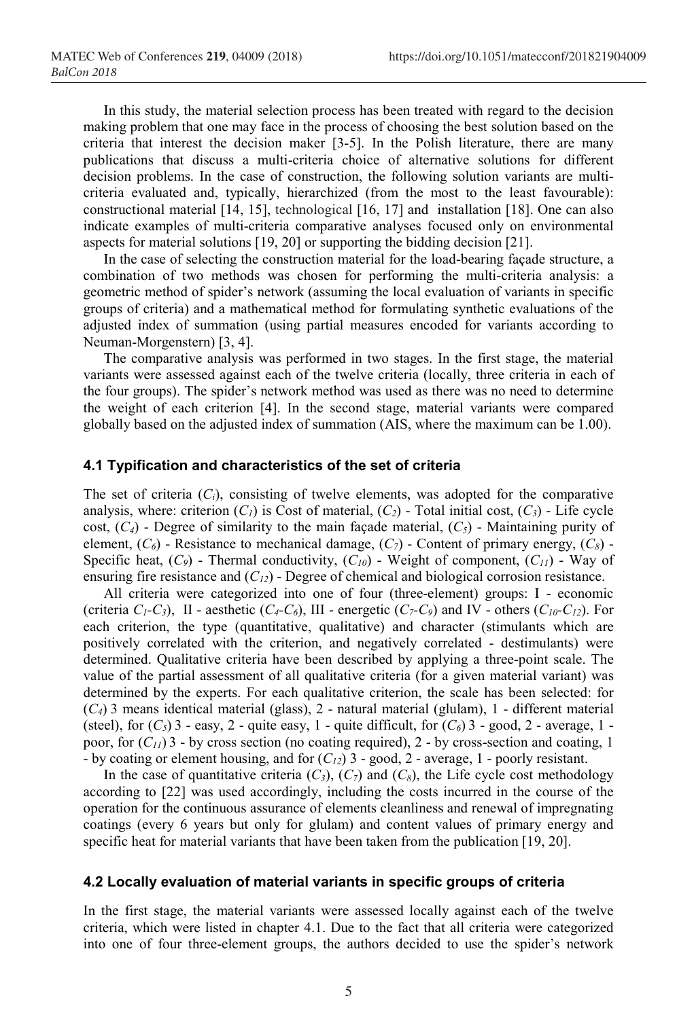In this study, the material selection process has been treated with regard to the decision making problem that one may face in the process of choosing the best solution based on the criteria that interest the decision maker [3-5]. In the Polish literature, there are many publications that discuss a multi-criteria choice of alternative solutions for different decision problems. In the case of construction, the following solution variants are multicriteria evaluated and, typically, hierarchized (from the most to the least favourable): constructional material [14, 15], technological [16, 17] and installation [18]. One can also indicate examples of multi-criteria comparative analyses focused only on environmental aspects for material solutions [19, 20] or supporting the bidding decision [21].

In the case of selecting the construction material for the load-bearing façade structure, a combination of two methods was chosen for performing the multi-criteria analysis: a geometric method of spider's network (assuming the local evaluation of variants in specific groups of criteria) and a mathematical method for formulating synthetic evaluations of the adjusted index of summation (using partial measures encoded for variants according to Neuman-Morgenstern) [3, 4].

The comparative analysis was performed in two stages. In the first stage, the material variants were assessed against each of the twelve criteria (locally, three criteria in each of the four groups). The spider's network method was used as there was no need to determine the weight of each criterion [4]. In the second stage, material variants were compared globally based on the adjusted index of summation (AIS, where the maximum can be 1.00).

#### 4.1 Typification and characteristics of the set of criteria

The set of criteria  $(C_i)$ , consisting of twelve elements, was adopted for the comparative analysis, where: criterion  $(C<sub>1</sub>)$  is Cost of material,  $(C<sub>2</sub>)$  - Total initial cost,  $(C<sub>3</sub>)$  - Life cycle cost,  $(C_4)$  - Degree of similarity to the main façade material,  $(C_5)$  - Maintaining purity of element,  $(C_6)$  - Resistance to mechanical damage,  $(C_7)$  - Content of primary energy,  $(C_8)$  -Specific heat,  $(C_9)$  - Thermal conductivity,  $(C_{10})$  - Weight of component,  $(C_{11})$  - Way of ensuring fire resistance and  $(C_{12})$  - Degree of chemical and biological corrosion resistance.

All criteria were categorized into one of four (three-element) groups: I - economic (criteria  $C_1-C_3$ ), II - aesthetic ( $C_4-C_6$ ), III - energetic ( $C_7-C_9$ ) and IV - others ( $C_{10}-C_{12}$ ). For each criterion, the type (quantitative, qualitative) and character (stimulants which are positively correlated with the criterion, and negatively correlated - destimulants) were determined. Qualitative criteria have been described by applying a three-point scale. The value of the partial assessment of all qualitative criteria (for a given material variant) was determined by the experts. For each qualitative criterion, the scale has been selected: for  $(C_4)$  3 means identical material (glass), 2 - natural material (glulam), 1 - different material (steel), for  $(C_5)$  3 - easy, 2 - quite easy, 1 - quite difficult, for  $(C_6)$  3 - good, 2 - average, 1 poor, for  $(C_{11})$  3 - by cross section (no coating required), 2 - by cross-section and coating, 1 - by coating or element housing, and for  $(C_{12})$  3 - good, 2 - average, 1 - poorly resistant.

In the case of quantitative criteria  $(C_3)$ ,  $(C_7)$  and  $(C_8)$ , the Life cycle cost methodology according to [22] was used accordingly, including the costs incurred in the course of the operation for the continuous assurance of elements cleanliness and renewal of impregnating coatings (every 6 years but only for glulam) and content values of primary energy and specific heat for material variants that have been taken from the publication [19, 20].

#### 4.2 Locally evaluation of material variants in specific groups of criteria

In the first stage, the material variants were assessed locally against each of the twelve criteria, which were listed in chapter 4.1. Due to the fact that all criteria were categorized into one of four three-element groups, the authors decided to use the spider's network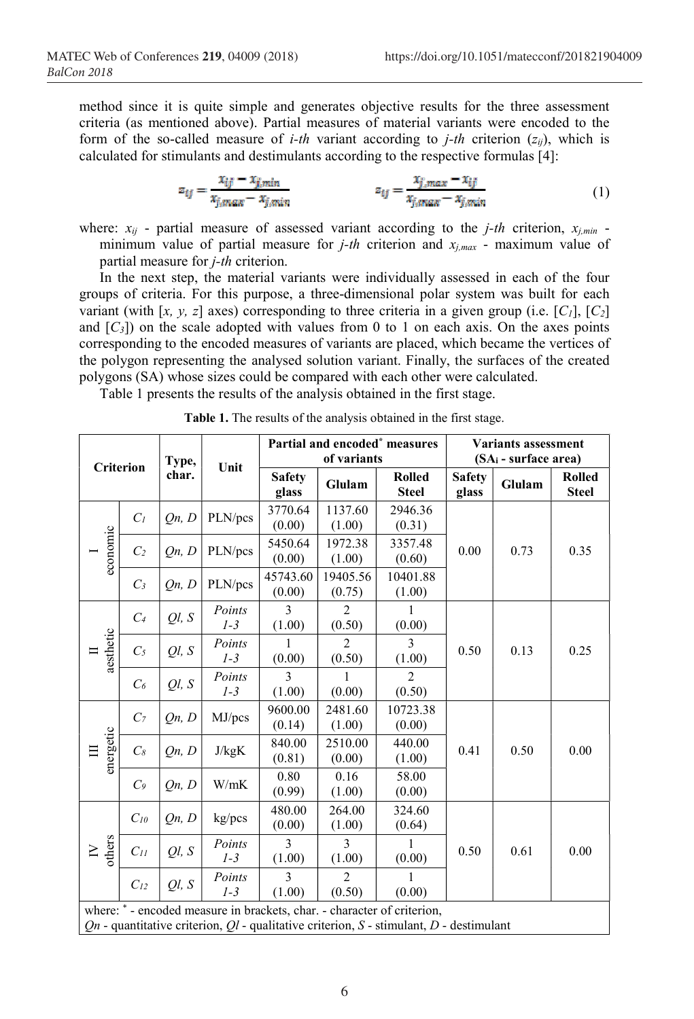method since it is quite simple and generates objective results for the three assessment criteria (as mentioned above). Partial measures of material variants were encoded to the form of the so-called measure of *i-th* variant according to *j-th* criterion  $(z_{ii})$ , which is calculated for stimulants and destimulants according to the respective formulas [4]:

$$
z_{ij} = \frac{x_{ij} - x_{j,min}}{x_{j,max} - x_{j,min}}
$$
  
\n
$$
z_{ij} = \frac{x_{j,max} - x_{ij}}{x_{j,max} - x_{j,min}}
$$
 (1)

where:  $x_{ij}$  - partial measure of assessed variant according to the *j*-th criterion,  $x_{j,min}$  minimum value of partial measure for *j-th* criterion and  $x_{j,max}$  - maximum value of partial measure for j-th criterion.

In the next step, the material variants were individually assessed in each of the four groups of criteria. For this purpose, a three-dimensional polar system was built for each variant (with [x, y, z] axes) corresponding to three criteria in a given group (i.e.  $[C_1]$ ,  $[C_2]$ and  $[C<sub>3</sub>]$  on the scale adopted with values from 0 to 1 on each axis. On the axes points corresponding to the encoded measures of variants are placed, which became the vertices of the polygon representing the analysed solution variant. Finally, the surfaces of the created polygons (SA) whose sizes could be compared with each other were calculated.

Table 1 presents the results of the analysis obtained in the first stage.

| <b>Criterion</b>                                                                                                                                                           |                | Type,<br>char. | Unit            | Partial and encoded <sup>*</sup> measures<br>of variants |                          |                               | Variants assessment<br>$(SA_i - surface area)$ |        |                               |
|----------------------------------------------------------------------------------------------------------------------------------------------------------------------------|----------------|----------------|-----------------|----------------------------------------------------------|--------------------------|-------------------------------|------------------------------------------------|--------|-------------------------------|
|                                                                                                                                                                            |                |                |                 | <b>Safety</b><br>glass                                   | Glulam                   | <b>Rolled</b><br><b>Steel</b> | <b>Safety</b><br>glass                         | Glulam | <b>Rolled</b><br><b>Steel</b> |
| economic                                                                                                                                                                   | $C_I$          | Qn, D          | PLN/pcs         | 3770.64<br>(0.00)                                        | 1137.60<br>(1.00)        | 2946.36<br>(0.31)             |                                                |        |                               |
|                                                                                                                                                                            | C <sub>2</sub> | On, D          | PLN/pcs         | 5450.64<br>(0.00)                                        | 1972.38<br>(1.00)        | 3357.48<br>(0.60)             | 0.00                                           | 0.73   | 0.35                          |
|                                                                                                                                                                            | $C_3$          | On, D          | PLN/pcs         | 45743.60<br>(0.00)                                       | 19405.56<br>(0.75)       | 10401.88<br>(1.00)            |                                                |        |                               |
| aesthetic                                                                                                                                                                  | $C_4$          | Ql, S          | Points<br>$1-3$ | $\mathcal{E}$<br>(1.00)                                  | $\overline{2}$<br>(0.50) | 1<br>(0.00)                   | 0.50                                           | 0.13   | 0.25                          |
|                                                                                                                                                                            | $C_5$          | Ql, S          | Points<br>$1-3$ | (0.00)                                                   | $\overline{2}$<br>(0.50) | 3<br>(1.00)                   |                                                |        |                               |
|                                                                                                                                                                            | $C_6$          | Ql, S          | Points<br>$1-3$ | 3<br>(1.00)                                              | 1<br>(0.00)              | $\overline{2}$<br>(0.50)      |                                                |        |                               |
| energetic                                                                                                                                                                  | C <sub>7</sub> | Qn, D          | MJ/pcs          | 9600.00<br>(0.14)                                        | 2481.60<br>(1.00)        | 10723.38<br>(0.00)            | 0.41                                           | 0.50   | 0.00                          |
|                                                                                                                                                                            | $C_{8}$        | Qn, D          | J/kgK           | 840.00<br>(0.81)                                         | 2510.00<br>(0.00)        | 440.00<br>(1.00)              |                                                |        |                               |
|                                                                                                                                                                            | C <sub>9</sub> | On, D          | W/mK            | 0.80<br>(0.99)                                           | 0.16<br>(1.00)           | 58.00<br>(0.00)               |                                                |        |                               |
| others<br>Ν                                                                                                                                                                | $C_{10}$       | Qn, D          | kg/pcs          | 480.00<br>(0.00)                                         | 264.00<br>(1.00)         | 324.60<br>(0.64)              | 0.50                                           | 0.61   | 0.00                          |
|                                                                                                                                                                            | $C_{II}$       | Ql, S          | Points<br>$1-3$ | $\mathcal{E}$<br>(1.00)                                  | $\mathcal{E}$<br>(1.00)  | $\mathbf{1}$<br>(0.00)        |                                                |        |                               |
|                                                                                                                                                                            | $C_{12}$       | Ql, S          | Points<br>$1-3$ | 3<br>(1.00)                                              | $\overline{c}$<br>(0.50) | 1<br>(0.00)                   |                                                |        |                               |
| where: * - encoded measure in brackets, char. - character of criterion,<br>$Qn$ - quantitative criterion, $Ql$ - qualitative criterion, $S$ - stimulant, $D$ - destimulant |                |                |                 |                                                          |                          |                               |                                                |        |                               |

Table 1. The results of the analysis obtained in the first stage.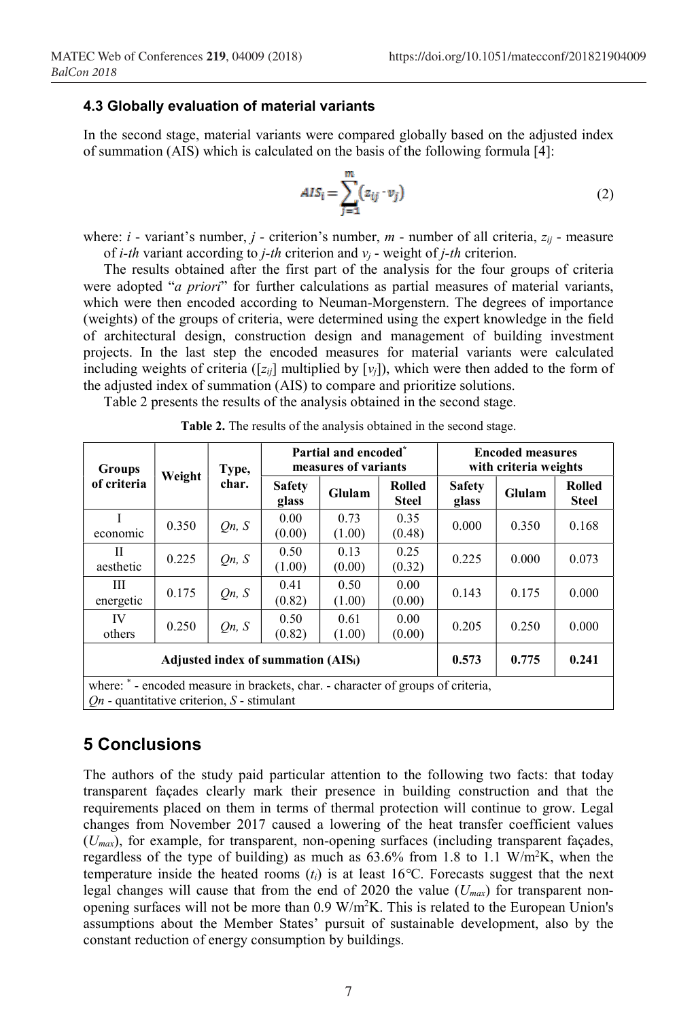#### 4.3 Globally evaluation of material variants

In the second stage, material variants were compared globally based on the adjusted index of summation (AIS) which is calculated on the basis of the following formula [4]:

$$
AIS_i = \sum_{j=1}^{m} (z_{ij} \cdot v_j)
$$
 (2)

where:  $i$  - variant's number,  $j$  - criterion's number,  $m$  - number of all criteria,  $z_{ij}$  - measure of *i-th* variant according to *j-th* criterion and  $v_i$  - weight of *j-th* criterion.

The results obtained after the first part of the analysis for the four groups of criteria were adopted "a priori" for further calculations as partial measures of material variants, which were then encoded according to Neuman-Morgenstern. The degrees of importance (weights) of the groups of criteria, were determined using the expert knowledge in the field of architectural design, construction design and management of building investment projects. In the last step the encoded measures for material variants were calculated including weights of criteria ( $[z_{ij}]$  multiplied by  $[v_i]$ ), which were then added to the form of the adjusted index of summation (AIS) to compare and prioritize solutions.

Table 2 presents the results of the analysis obtained in the second stage.

| <b>Groups</b>                                                                                                                      | Weight | Type,<br>char. | Partial and encoded <sup>*</sup><br>measures of variants |                |                        | <b>Encoded measures</b><br>with criteria weights |        |                               |  |
|------------------------------------------------------------------------------------------------------------------------------------|--------|----------------|----------------------------------------------------------|----------------|------------------------|--------------------------------------------------|--------|-------------------------------|--|
| of criteria                                                                                                                        |        |                | <b>Safety</b><br>glass                                   | Glulam         | Rolled<br><b>Steel</b> | <b>Safety</b><br>glass                           | Glulam | <b>Rolled</b><br><b>Steel</b> |  |
| T<br>economic                                                                                                                      | 0.350  | On, S          | 0.00<br>(0.00)                                           | 0.73<br>(1.00) | 0.35<br>(0.48)         | 0.000                                            | 0.350  | 0.168                         |  |
| Н<br>aesthetic                                                                                                                     | 0.225  | On, S          | 0.50<br>(1.00)                                           | 0.13<br>(0.00) | 0.25<br>(0.32)         | 0.225                                            | 0.000  | 0.073                         |  |
| Ш<br>energetic                                                                                                                     | 0.175  | On, S          | 0.41<br>(0.82)                                           | 0.50<br>(1.00) | 0.00<br>(0.00)         | 0.143                                            | 0.175  | 0.000                         |  |
| IV<br>others                                                                                                                       | 0.250  | On, S          | 0.50<br>(0.82)                                           | 0.61<br>(1.00) | 0.00<br>(0.00)         | 0.205                                            | 0.250  | 0.000                         |  |
| 0.241<br>0.775<br>0.573<br>Adjusted index of summation (AIS <sub>i</sub> )                                                         |        |                |                                                          |                |                        |                                                  |        |                               |  |
| where: * - encoded measure in brackets, char. - character of groups of criteria,<br>$On$ - quantitative criterion, $S$ - stimulant |        |                |                                                          |                |                        |                                                  |        |                               |  |

## 5 Conclusions

The authors of the study paid particular attention to the following two facts: that today transparent façades clearly mark their presence in building construction and that the requirements placed on them in terms of thermal protection will continue to grow. Legal changes from November 2017 caused a lowering of the heat transfer coefficient values  $(U_{max})$ , for example, for transparent, non-opening surfaces (including transparent façades, regardless of the type of building) as much as  $63.6\%$  from 1.8 to 1.1 W/m<sup>2</sup>K, when the temperature inside the heated rooms  $(t_i)$  is at least 16°C. Forecasts suggest that the next legal changes will cause that from the end of 2020 the value  $(U_{max})$  for transparent nonopening surfaces will not be more than  $0.9 \text{ W/m}^2\text{K}$ . This is related to the European Union's assumptions about the Member States' pursuit of sustainable development, also by the constant reduction of energy consumption by buildings.